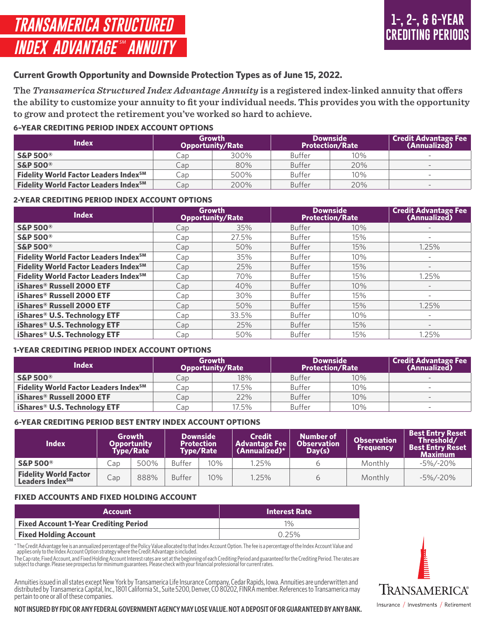# **Current Growth Opportunity and Downside Protection Types as of June 15, 2022.**

**The** *Transamerica Structured Index Advantage Annuity* **is a registered index-linked annuity that offers the ability to customize your annuity to fit your individual needs. This provides you with the opportunity to grow and protect the retirement you've worked so hard to achieve.**

# **6–YEAR CREDITING PERIOD INDEX ACCOUNT OPTIONS**

| Index                                             |                | Growth<br><b>Opportunity/Rate</b> |               | <b>Downside</b><br><b>Protection/Rate</b> | <b>Credit Advantage Fee</b><br>(Annualized) |
|---------------------------------------------------|----------------|-----------------------------------|---------------|-------------------------------------------|---------------------------------------------|
| <b>S&amp;P 500®</b>                               | $\mathsf{cap}$ | 300%                              | <b>Buffer</b> | 10%                                       |                                             |
| <b>S&amp;P 500®</b>                               | Cap            | 80%                               | <b>Buffer</b> | 20%                                       | $\qquad \qquad \blacksquare$                |
| Fidelity World Factor Leaders Index <sup>SM</sup> | $\mathsf{Lap}$ | 500%                              | <b>Buffer</b> | 10%                                       |                                             |
| Fidelity World Factor Leaders Index <sup>SM</sup> | Cap            | 200%                              | <b>Buffer</b> | 20%                                       | $\sim$                                      |

# **2-YEAR CREDITING PERIOD INDEX ACCOUNT OPTIONS**

| <b>Index</b>                                      |     | <b>Growth</b><br><b>Opportunity/Rate</b> |               | <b>Downside</b><br><b>Protection/Rate</b> | <b>Credit Advantage Fee</b><br>(Annualized) |
|---------------------------------------------------|-----|------------------------------------------|---------------|-------------------------------------------|---------------------------------------------|
| <b>S&amp;P 500®</b>                               | Cap | 35%                                      | <b>Buffer</b> | 10%                                       |                                             |
| <b>S&amp;P 500®</b>                               | Cap | 27.5%                                    | <b>Buffer</b> | 15%                                       |                                             |
| <b>S&amp;P 500®</b>                               | Cap | 50%                                      | <b>Buffer</b> | 15%                                       | 1.25%                                       |
| Fidelity World Factor Leaders Index <sup>SM</sup> | Cap | 35%                                      | <b>Buffer</b> | 10%                                       | $\overline{\phantom{0}}$                    |
| Fidelity World Factor Leaders Index <sup>SM</sup> | Cap | 25%                                      | <b>Buffer</b> | 15%                                       | $\overline{\phantom{a}}$                    |
| Fidelity World Factor Leaders Index <sup>SM</sup> | Cap | 70%                                      | <b>Buffer</b> | 15%                                       | 1.25%                                       |
| iShares® Russell 2000 ETF                         | Cap | 40%                                      | <b>Buffer</b> | 10%                                       | $\overline{\phantom{0}}$                    |
| iShares® Russell 2000 ETF                         | Cap | 30%                                      | <b>Buffer</b> | 15%                                       | $\overline{\phantom{0}}$                    |
| iShares® Russell 2000 ETF                         | Cap | 50%                                      | <b>Buffer</b> | 15%                                       | 1.25%                                       |
| iShares® U.S. Technology ETF                      | Cap | 33.5%                                    | <b>Buffer</b> | 10%                                       |                                             |
| iShares® U.S. Technology ETF                      | Cap | 25%                                      | <b>Buffer</b> | 15%                                       | $\qquad \qquad$                             |
| iShares® U.S. Technology ETF                      | Cap | 50%                                      | <b>Buffer</b> | 15%                                       | 1.25%                                       |

# **1-YEAR CREDITING PERIOD INDEX ACCOUNT OPTIONS**

| <b>Index</b>                                      |                | Growth<br><b>Opportunity/Rate</b> |               | <b>Downside</b><br><b>Protection/Rate</b> | <b>Credit Advantage Fee</b><br>(Annualized) |
|---------------------------------------------------|----------------|-----------------------------------|---------------|-------------------------------------------|---------------------------------------------|
| <b>S&amp;P 500®</b>                               | Cap            | 18%                               | <b>Buffer</b> | 10%                                       | $\overline{\phantom{0}}$                    |
| Fidelity World Factor Leaders Index <sup>SM</sup> | Cap            | 17.5%                             | <b>Buffer</b> | 10%                                       | $\overline{\phantom{a}}$                    |
| <b>iShares<sup>®</sup> Russell 2000 ETF</b>       | Cap            | 22%                               | <b>Buffer</b> | 10%                                       |                                             |
| iShares® U.S. Technology ETF                      | $\mathsf{cap}$ | 17.5%                             | <b>Buffer</b> | 10%                                       | $\overline{\phantom{a}}$                    |

# **6-YEAR CREDITING PERIOD BEST ENTRY INDEX ACCOUNT OPTIONS**

| <b>Index</b>                                                |                 | Growth<br>Opportunity<br>Tvpe/Rate |               | <b>Downside</b><br><b>Protection</b><br><b>Type/Rate</b> | <b>Credit</b><br><b>Advantage Fee</b><br>$\Lambda$ (Annualized)* | <b>Number of</b><br><b>Observation</b><br>Day(s) | <b>Observation</b><br><b>Frequency</b> | <b>Best Entry Reset</b><br>Threshold/<br><b>Best Entry Reset</b><br>Maximum |
|-------------------------------------------------------------|-----------------|------------------------------------|---------------|----------------------------------------------------------|------------------------------------------------------------------|--------------------------------------------------|----------------------------------------|-----------------------------------------------------------------------------|
| <b>S&amp;P 500®</b>                                         | $\mathsf{C}$ ap | 500%                               | <b>Buffer</b> | 10%                                                      | 1.25%                                                            |                                                  | Monthly                                | $-5\% / - 20\%$                                                             |
| <b>Fidelity World Factor</b><br>Leaders Index <sup>SM</sup> | Cap             | 888%                               | <b>Buffer</b> | 10%                                                      | 1.25%                                                            |                                                  | Monthly                                | $-5\%/20\%$                                                                 |

# **FIXED ACCOUNTS AND FIXED HOLDING ACCOUNT**

| Account                                      | <b>Interest Rate</b> |
|----------------------------------------------|----------------------|
| <b>Fixed Account 1-Year Crediting Period</b> | $1\%$                |
| <b>Fixed Holding Account</b>                 | 0.25%                |

\* The Credit Advantage fee is an annualized percentage of the Policy Value allocated to that Index Account Option. The fee is a percentage of the Index Account Value and<br>applies only to the Index Account Option strategy wh

The Cap rate, Fixed Account, and Fixed Holding Account Interest rates are set at the beginning of each Crediting Period and guaranteed for the Crediting Period. The rates are<br>subject to change. Please see prospectus for mi

Annuities issued in all states except New York by Transamerica Life Insurance Company, Cedar Rapids, Iowa. Annuities are underwritten and distributed by Transamerica Capital, Inc., 1801 California St., Suite 5200, Denver, CO 80202, FINRA member. References to Transamerica may pertain to one or all of these companies.



#### **NOT INSURED BY FDIC OR ANY FEDERAL GOVERNMENT AGENCY MAY LOSE VALUE. NOT A DEPOSIT OF OR GUARANTEED BY ANY BANK.**